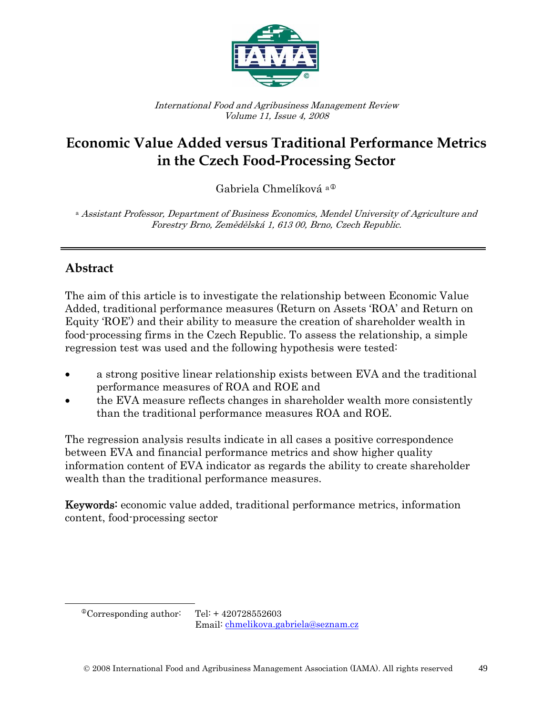

International Food and Agribusiness Management Review Volume 11, Issue 4, 2008

# **Economic Value Added versus Traditional Performance Metrics in the Czech Food-Processing Sector**

Gabriela Chmelíková a<sup>®</sup>

a Assistant Professor, Department of Business Economics, Mendel University of Agriculture and Forestry Brno, Zemědělská 1, 613 00, Brno, Czech Republic.

# **Abstract**

The aim of this article is to investigate the relationship between Economic Value Added, traditional performance measures (Return on Assets 'ROA' and Return on Equity 'ROE') and their ability to measure the creation of shareholder wealth in food-processing firms in the Czech Republic. To assess the relationship, a simple regression test was used and the following hypothesis were tested:

- a strong positive linear relationship exists between EVA and the traditional performance measures of ROA and ROE and
- the EVA measure reflects changes in shareholder wealth more consistently than the traditional performance measures ROA and ROE.

The regression analysis results indicate in all cases a positive correspondence between EVA and financial performance metrics and show higher quality information content of EVA indicator as regards the ability to create shareholder wealth than the traditional performance measures.

Keywords: economic value added, traditional performance metrics, information content, food-processing sector

<span id="page-0-0"></span> $\overline{a}$ 

 $^{\circ}$ Corresponding author: Tel: + 420728552603

Email: [chmelikova.gabriela@seznam.cz](mailto:chmelikova.gabriela@seznam.cz)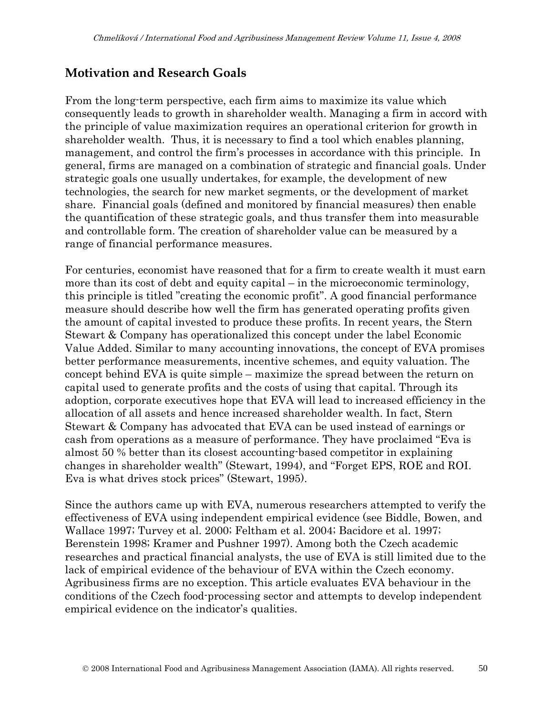### **Motivation and Research Goals**

From the long-term perspective, each firm aims to maximize its value which consequently leads to growth in shareholder wealth. Managing a firm in accord with the principle of value maximization requires an operational criterion for growth in shareholder wealth. Thus, it is necessary to find a tool which enables planning, management, and control the firm's processes in accordance with this principle. In general, firms are managed on a combination of strategic and financial goals. Under strategic goals one usually undertakes, for example, the development of new technologies, the search for new market segments, or the development of market share. Financial goals (defined and monitored by financial measures) then enable the quantification of these strategic goals, and thus transfer them into measurable and controllable form. The creation of shareholder value can be measured by a range of financial performance measures.

For centuries, economist have reasoned that for a firm to create wealth it must earn more than its cost of debt and equity capital – in the microeconomic terminology, this principle is titled "creating the economic profit". A good financial performance measure should describe how well the firm has generated operating profits given the amount of capital invested to produce these profits. In recent years, the Stern Stewart & Company has operationalized this concept under the label Economic Value Added. Similar to many accounting innovations, the concept of EVA promises better performance measurements, incentive schemes, and equity valuation. The concept behind EVA is quite simple – maximize the spread between the return on capital used to generate profits and the costs of using that capital. Through its adoption, corporate executives hope that EVA will lead to increased efficiency in the allocation of all assets and hence increased shareholder wealth. In fact, Stern Stewart & Company has advocated that EVA can be used instead of earnings or cash from operations as a measure of performance. They have proclaimed "Eva is almost 50 % better than its closest accounting-based competitor in explaining changes in shareholder wealth" (Stewart, 1994), and "Forget EPS, ROE and ROI. Eva is what drives stock prices" (Stewart, 1995).

Since the authors came up with EVA, numerous researchers attempted to verify the effectiveness of EVA using independent empirical evidence (see Biddle, Bowen, and Wallace 1997; Turvey et al. 2000; Feltham et al. 2004; Bacidore et al. 1997; Berenstein 1998; Kramer and Pushner 1997). Among both the Czech academic researches and practical financial analysts, the use of EVA is still limited due to the lack of empirical evidence of the behaviour of EVA within the Czech economy. Agribusiness firms are no exception. This article evaluates EVA behaviour in the conditions of the Czech food-processing sector and attempts to develop independent empirical evidence on the indicator's qualities.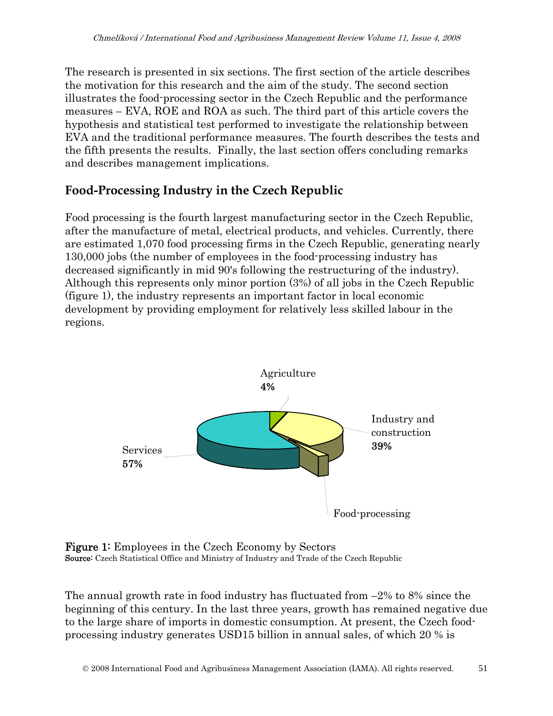The research is presented in six sections. The first section of the article describes the motivation for this research and the aim of the study. The second section illustrates the food-processing sector in the Czech Republic and the performance measures – EVA, ROE and ROA as such. The third part of this article covers the hypothesis and statistical test performed to investigate the relationship between EVA and the traditional performance measures. The fourth describes the tests and the fifth presents the results. Finally, the last section offers concluding remarks and describes management implications.

# **Food-Processing Industry in the Czech Republic**

Food processing is the fourth largest manufacturing sector in the Czech Republic, after the manufacture of metal, electrical products, and vehicles. Currently, there are estimated 1,070 food processing firms in the Czech Republic, generating nearly 130,000 jobs (the number of employees in the food-processing industry has decreased significantly in mid 90's following the restructuring of the industry). Although this represents only minor portion (3%) of all jobs in the Czech Republic (figure 1), the industry represents an important factor in local economic development by providing employment for relatively less skilled labour in the regions.





The annual growth rate in food industry has fluctuated from –2% to 8% since the beginning of this century. In the last three years, growth has remained negative due to the large share of imports in domestic consumption. At present, the Czech foodprocessing industry generates USD15 billion in annual sales, of which 20 % is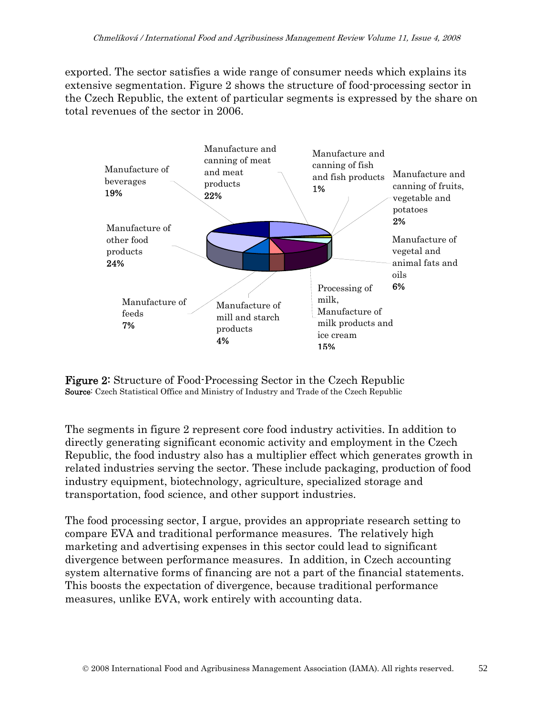exported. The sector satisfies a wide range of consumer needs which explains its extensive segmentation. Figure 2 shows the structure of food-processing sector in the Czech Republic, the extent of particular segments is expressed by the share on total revenues of the sector in 2006.



Figure 2: Structure of Food-Processing Sector in the Czech Republic Source: Czech Statistical Office and Ministry of Industry and Trade of the Czech Republic

The segments in figure 2 represent core food industry activities. In addition to directly generating significant economic activity and employment in the Czech Republic, the food industry also has a multiplier effect which generates growth in related industries serving the sector. These include packaging, production of food industry equipment, biotechnology, agriculture, specialized storage and transportation, food science, and other support industries.

The food processing sector, I argue, provides an appropriate research setting to compare EVA and traditional performance measures. The relatively high marketing and advertising expenses in this sector could lead to significant divergence between performance measures. In addition, in Czech accounting system alternative forms of financing are not a part of the financial statements. This boosts the expectation of divergence, because traditional performance measures, unlike EVA, work entirely with accounting data.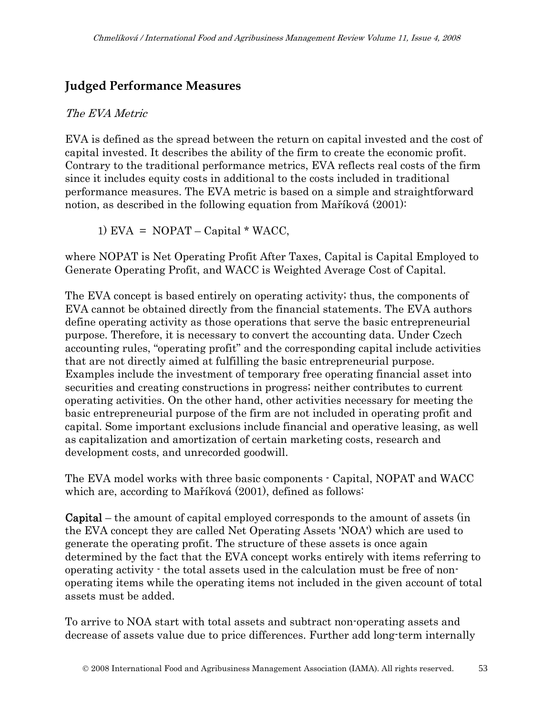### **Judged Performance Measures**

#### The EVA Metric

EVA is defined as the spread between the return on capital invested and the cost of capital invested. It describes the ability of the firm to create the economic profit. Contrary to the traditional performance metrics, EVA reflects real costs of the firm since it includes equity costs in additional to the costs included in traditional performance measures. The EVA metric is based on a simple and straightforward notion, as described in the following equation from Maříková (2001):

1) EVA =  $NOPAT - Capital * WACC$ ,

where NOPAT is Net Operating Profit After Taxes, Capital is Capital Employed to Generate Operating Profit, and WACC is Weighted Average Cost of Capital.

The EVA concept is based entirely on operating activity; thus, the components of EVA cannot be obtained directly from the financial statements. The EVA authors define operating activity as those operations that serve the basic entrepreneurial purpose. Therefore, it is necessary to convert the accounting data. Under Czech accounting rules, "operating profit" and the corresponding capital include activities that are not directly aimed at fulfilling the basic entrepreneurial purpose. Examples include the investment of temporary free operating financial asset into securities and creating constructions in progress; neither contributes to current operating activities. On the other hand, other activities necessary for meeting the basic entrepreneurial purpose of the firm are not included in operating profit and capital. Some important exclusions include financial and operative leasing, as well as capitalization and amortization of certain marketing costs, research and development costs, and unrecorded goodwill.

The EVA model works with three basic components - Capital, NOPAT and WACC which are, according to Maříková (2001), defined as follows:

Capital – the amount of capital employed corresponds to the amount of assets (in the EVA concept they are called Net Operating Assets 'NOA') which are used to generate the operating profit. The structure of these assets is once again determined by the fact that the EVA concept works entirely with items referring to operating activity - the total assets used in the calculation must be free of nonoperating items while the operating items not included in the given account of total assets must be added.

To arrive to NOA start with total assets and subtract non-operating assets and decrease of assets value due to price differences. Further add long-term internally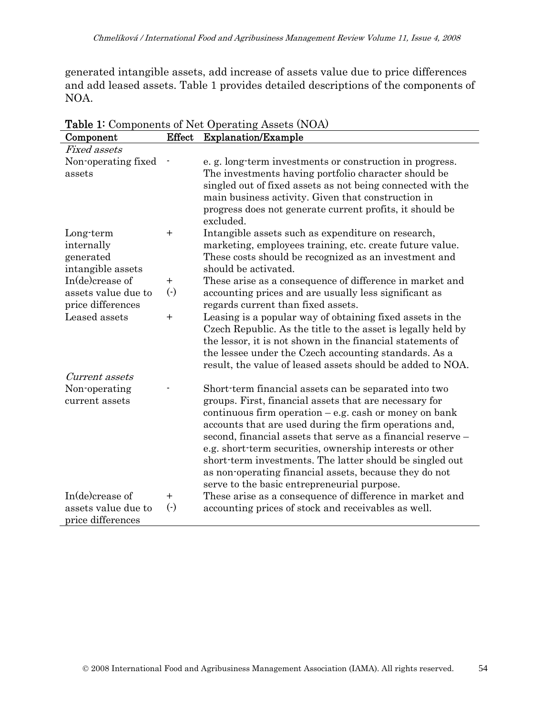generated intangible assets, add increase of assets value due to price differences and add leased assets. Table 1 provides detailed descriptions of the components of NOA.

| Component                                | <b>Effect</b>          | <b>Explanation/Example</b>                                            |
|------------------------------------------|------------------------|-----------------------------------------------------------------------|
| <b>Fixed assets</b>                      |                        |                                                                       |
| Non-operating fixed                      |                        | e.g. long-term investments or construction in progress.               |
| assets                                   |                        | The investments having portfolio character should be                  |
|                                          |                        | singled out of fixed assets as not being connected with the           |
|                                          |                        | main business activity. Given that construction in                    |
|                                          |                        | progress does not generate current profits, it should be<br>excluded. |
| Long-term                                | $\ddag$                | Intangible assets such as expenditure on research,                    |
| internally                               |                        | marketing, employees training, etc. create future value.              |
| generated                                |                        | These costs should be recognized as an investment and                 |
| intangible assets                        |                        | should be activated.                                                  |
| In(de)crease of                          | $+$                    | These arise as a consequence of difference in market and              |
| assets value due to                      | $\left( \cdot \right)$ | accounting prices and are usually less significant as                 |
| price differences                        |                        | regards current than fixed assets.                                    |
| Leased assets                            | $+$                    | Leasing is a popular way of obtaining fixed assets in the             |
|                                          |                        | Czech Republic. As the title to the asset is legally held by          |
|                                          |                        | the lessor, it is not shown in the financial statements of            |
|                                          |                        | the lessee under the Czech accounting standards. As a                 |
|                                          |                        | result, the value of leased assets should be added to NOA.            |
| Current assets                           |                        |                                                                       |
| Non-operating                            |                        | Short-term financial assets can be separated into two                 |
| current assets                           |                        | groups. First, financial assets that are necessary for                |
|                                          |                        | continuous firm operation $-e.g.$ cash or money on bank               |
|                                          |                        | accounts that are used during the firm operations and,                |
|                                          |                        | second, financial assets that serve as a financial reserve –          |
|                                          |                        | e.g. short-term securities, ownership interests or other              |
|                                          |                        | short-term investments. The latter should be singled out              |
|                                          |                        | as non-operating financial assets, because they do not                |
|                                          |                        | serve to the basic entrepreneurial purpose.                           |
| In( $de)$ crease of                      | $\pm$                  | These arise as a consequence of difference in market and              |
| assets value due to<br>price differences | $\left( \cdot \right)$ | accounting prices of stock and receivables as well.                   |
|                                          |                        |                                                                       |

Table 1: Components of Net Operating Assets (NOA)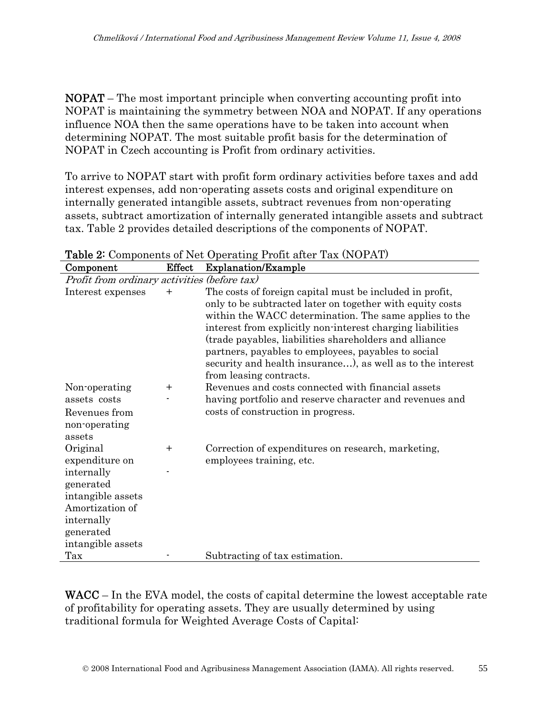NOPAT – The most important principle when converting accounting profit into NOPAT is maintaining the symmetry between NOA and NOPAT. If any operations influence NOA then the same operations have to be taken into account when determining NOPAT. The most suitable profit basis for the determination of NOPAT in Czech accounting is Profit from ordinary activities.

To arrive to NOPAT start with profit form ordinary activities before taxes and add interest expenses, add non-operating assets costs and original expenditure on internally generated intangible assets, subtract revenues from non-operating assets, subtract amortization of internally generated intangible assets and subtract tax. Table 2 provides detailed descriptions of the components of NOPAT.

| Profit from ordinary activities (before tax)<br>The costs of foreign capital must be included in profit,<br>Interest expenses<br>$\, + \,$<br>only to be subtracted later on together with equity costs<br>within the WACC determination. The same applies to the<br>interest from explicitly non-interest charging liabilities<br>(trade payables, liabilities shareholders and alliance<br>partners, payables to employees, payables to social<br>security and health insurance), as well as to the interest<br>from leasing contracts.<br>Revenues and costs connected with financial assets<br>Non-operating<br>$\pm$<br>having portfolio and reserve character and revenues and<br>assets costs<br>costs of construction in progress.<br>Revenues from<br>non-operating<br>assets<br>Original<br>Correction of expenditures on research, marketing,<br>$\ddot{}$<br>expenditure on<br>employees training, etc.<br>internally<br>generated<br>intangible assets<br>Amortization of<br>internally<br>generated<br>intangible assets<br>Tax<br>Subtracting of tax estimation. | Component | <b>Effect</b> | <b>Explanation/Example</b> |
|---------------------------------------------------------------------------------------------------------------------------------------------------------------------------------------------------------------------------------------------------------------------------------------------------------------------------------------------------------------------------------------------------------------------------------------------------------------------------------------------------------------------------------------------------------------------------------------------------------------------------------------------------------------------------------------------------------------------------------------------------------------------------------------------------------------------------------------------------------------------------------------------------------------------------------------------------------------------------------------------------------------------------------------------------------------------------------|-----------|---------------|----------------------------|
|                                                                                                                                                                                                                                                                                                                                                                                                                                                                                                                                                                                                                                                                                                                                                                                                                                                                                                                                                                                                                                                                                 |           |               |                            |
|                                                                                                                                                                                                                                                                                                                                                                                                                                                                                                                                                                                                                                                                                                                                                                                                                                                                                                                                                                                                                                                                                 |           |               |                            |
|                                                                                                                                                                                                                                                                                                                                                                                                                                                                                                                                                                                                                                                                                                                                                                                                                                                                                                                                                                                                                                                                                 |           |               |                            |
|                                                                                                                                                                                                                                                                                                                                                                                                                                                                                                                                                                                                                                                                                                                                                                                                                                                                                                                                                                                                                                                                                 |           |               |                            |
|                                                                                                                                                                                                                                                                                                                                                                                                                                                                                                                                                                                                                                                                                                                                                                                                                                                                                                                                                                                                                                                                                 |           |               |                            |
|                                                                                                                                                                                                                                                                                                                                                                                                                                                                                                                                                                                                                                                                                                                                                                                                                                                                                                                                                                                                                                                                                 |           |               |                            |
|                                                                                                                                                                                                                                                                                                                                                                                                                                                                                                                                                                                                                                                                                                                                                                                                                                                                                                                                                                                                                                                                                 |           |               |                            |
|                                                                                                                                                                                                                                                                                                                                                                                                                                                                                                                                                                                                                                                                                                                                                                                                                                                                                                                                                                                                                                                                                 |           |               |                            |
|                                                                                                                                                                                                                                                                                                                                                                                                                                                                                                                                                                                                                                                                                                                                                                                                                                                                                                                                                                                                                                                                                 |           |               |                            |
|                                                                                                                                                                                                                                                                                                                                                                                                                                                                                                                                                                                                                                                                                                                                                                                                                                                                                                                                                                                                                                                                                 |           |               |                            |
|                                                                                                                                                                                                                                                                                                                                                                                                                                                                                                                                                                                                                                                                                                                                                                                                                                                                                                                                                                                                                                                                                 |           |               |                            |
|                                                                                                                                                                                                                                                                                                                                                                                                                                                                                                                                                                                                                                                                                                                                                                                                                                                                                                                                                                                                                                                                                 |           |               |                            |
|                                                                                                                                                                                                                                                                                                                                                                                                                                                                                                                                                                                                                                                                                                                                                                                                                                                                                                                                                                                                                                                                                 |           |               |                            |
|                                                                                                                                                                                                                                                                                                                                                                                                                                                                                                                                                                                                                                                                                                                                                                                                                                                                                                                                                                                                                                                                                 |           |               |                            |
|                                                                                                                                                                                                                                                                                                                                                                                                                                                                                                                                                                                                                                                                                                                                                                                                                                                                                                                                                                                                                                                                                 |           |               |                            |
|                                                                                                                                                                                                                                                                                                                                                                                                                                                                                                                                                                                                                                                                                                                                                                                                                                                                                                                                                                                                                                                                                 |           |               |                            |
|                                                                                                                                                                                                                                                                                                                                                                                                                                                                                                                                                                                                                                                                                                                                                                                                                                                                                                                                                                                                                                                                                 |           |               |                            |
|                                                                                                                                                                                                                                                                                                                                                                                                                                                                                                                                                                                                                                                                                                                                                                                                                                                                                                                                                                                                                                                                                 |           |               |                            |
|                                                                                                                                                                                                                                                                                                                                                                                                                                                                                                                                                                                                                                                                                                                                                                                                                                                                                                                                                                                                                                                                                 |           |               |                            |
|                                                                                                                                                                                                                                                                                                                                                                                                                                                                                                                                                                                                                                                                                                                                                                                                                                                                                                                                                                                                                                                                                 |           |               |                            |
|                                                                                                                                                                                                                                                                                                                                                                                                                                                                                                                                                                                                                                                                                                                                                                                                                                                                                                                                                                                                                                                                                 |           |               |                            |
|                                                                                                                                                                                                                                                                                                                                                                                                                                                                                                                                                                                                                                                                                                                                                                                                                                                                                                                                                                                                                                                                                 |           |               |                            |
|                                                                                                                                                                                                                                                                                                                                                                                                                                                                                                                                                                                                                                                                                                                                                                                                                                                                                                                                                                                                                                                                                 |           |               |                            |

Table 2: Components of Net Operating Profit after Tax (NOPAT)

WACC – In the EVA model, the costs of capital determine the lowest acceptable rate of profitability for operating assets. They are usually determined by using traditional formula for Weighted Average Costs of Capital: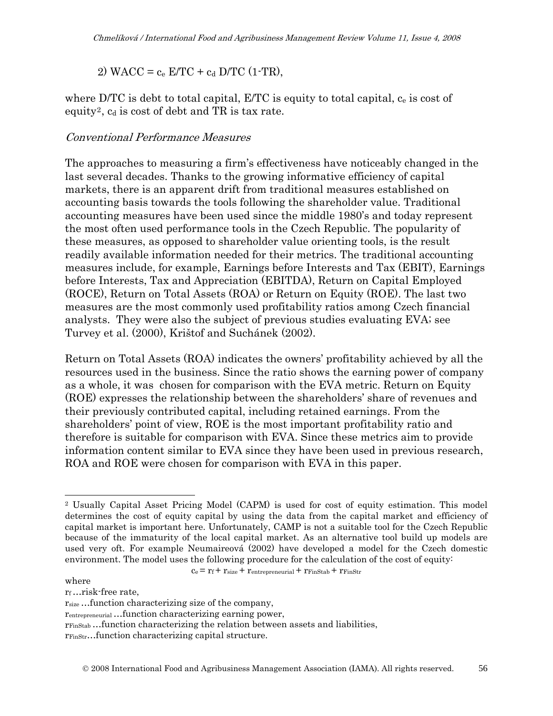2) WACC =  $c_e$  E/TC +  $c_d$  D/TC (1-TR),

where D/TC is debt to total capital,  $E/TC$  is equity to total capital,  $c_e$  is cost of equity<sup>[2](#page-7-0)</sup>,  $c_d$  is cost of debt and TR is tax rate.

#### Conventional Performance Measures

The approaches to measuring a firm's effectiveness have noticeably changed in the last several decades. Thanks to the growing informative efficiency of capital markets, there is an apparent drift from traditional measures established on accounting basis towards the tools following the shareholder value. Traditional accounting measures have been used since the middle 1980's and today represent the most often used performance tools in the Czech Republic. The popularity of these measures, as opposed to shareholder value orienting tools, is the result readily available information needed for their metrics. The traditional accounting measures include, for example, Earnings before Interests and Tax (EBIT), Earnings before Interests, Tax and Appreciation (EBITDA), Return on Capital Employed (ROCE), Return on Total Assets (ROA) or Return on Equity (ROE). The last two measures are the most commonly used profitability ratios among Czech financial analysts. They were also the subject of previous studies evaluating EVA; see Turvey et al. (2000), Krištof and Suchánek (2002).

Return on Total Assets (ROA) indicates the owners' profitability achieved by all the resources used in the business. Since the ratio shows the earning power of company as a whole, it was chosen for comparison with the EVA metric. Return on Equity (ROE) expresses the relationship between the shareholders' share of revenues and their previously contributed capital, including retained earnings. From the shareholders' point of view, ROE is the most important profitability ratio and therefore is suitable for comparison with EVA. Since these metrics aim to provide information content similar to EVA since they have been used in previous research, ROA and ROE were chosen for comparison with EVA in this paper.

 $c_e$  =  $r_f$  +  $r_{size}$  +  $r_{entrepreneural}$  +  $r_{FinStab}$  +  $r_{FinStr}$ 

where

 $\overline{a}$ 

rf …risk-free rate,

rFinStr…function characterizing capital structure.

<span id="page-7-0"></span><sup>2</sup> Usually Capital Asset Pricing Model (CAPM) is used for cost of equity estimation. This model determines the cost of equity capital by using the data from the capital market and efficiency of capital market is important here. Unfortunately, CAMP is not a suitable tool for the Czech Republic because of the immaturity of the local capital market. As an alternative tool build up models are used very oft. For example Neumaireová (2002) have developed a model for the Czech domestic environment. The model uses the following procedure for the calculation of the cost of equity:

 $r_{size}$ ... function characterizing size of the company,

rentrepreneurial …function characterizing earning power,

rFinStab …function characterizing the relation between assets and liabilities,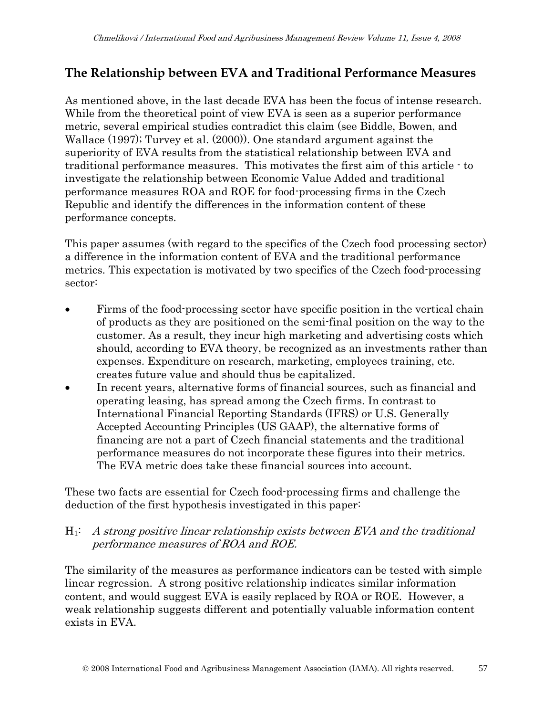# **The Relationship between EVA and Traditional Performance Measures**

As mentioned above, in the last decade EVA has been the focus of intense research. While from the theoretical point of view EVA is seen as a superior performance metric, several empirical studies contradict this claim (see Biddle, Bowen, and Wallace (1997); Turvey et al. (2000)). One standard argument against the superiority of EVA results from the statistical relationship between EVA and traditional performance measures. This motivates the first aim of this article - to investigate the relationship between Economic Value Added and traditional performance measures ROA and ROE for food-processing firms in the Czech Republic and identify the differences in the information content of these performance concepts.

This paper assumes (with regard to the specifics of the Czech food processing sector) a difference in the information content of EVA and the traditional performance metrics. This expectation is motivated by two specifics of the Czech food-processing sector:

- Firms of the food-processing sector have specific position in the vertical chain of products as they are positioned on the semi-final position on the way to the customer. As a result, they incur high marketing and advertising costs which should, according to EVA theory, be recognized as an investments rather than expenses. Expenditure on research, marketing, employees training, etc. creates future value and should thus be capitalized.
- In recent years, alternative forms of financial sources, such as financial and operating leasing, has spread among the Czech firms. In contrast to International Financial Reporting Standards (IFRS) or U.S. Generally Accepted Accounting Principles (US GAAP), the alternative forms of financing are not a part of Czech financial statements and the traditional performance measures do not incorporate these figures into their metrics. The EVA metric does take these financial sources into account.

These two facts are essential for Czech food-processing firms and challenge the deduction of the first hypothesis investigated in this paper:

#### $H_1$ : A strong positive linear relationship exists between EVA and the traditional performance measures of ROA and ROE.

The similarity of the measures as performance indicators can be tested with simple linear regression. A strong positive relationship indicates similar information content, and would suggest EVA is easily replaced by ROA or ROE. However, a weak relationship suggests different and potentially valuable information content exists in EVA.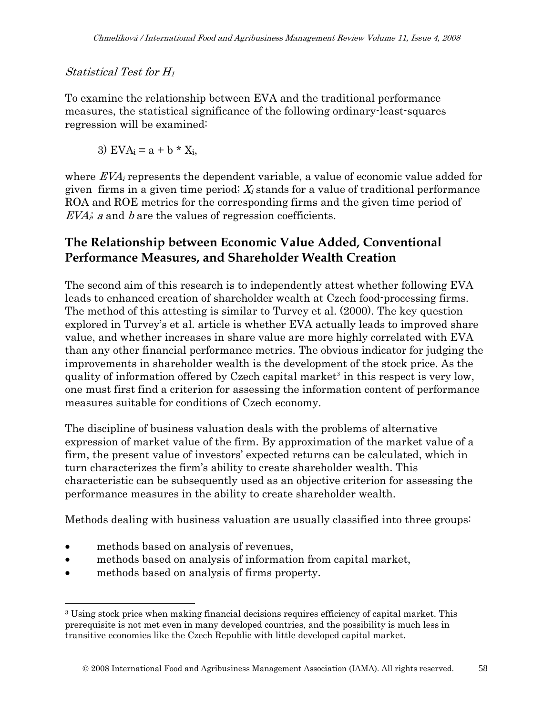#### Statistical Test for H<sup>1</sup>

To examine the relationship between EVA and the traditional performance measures, the statistical significance of the following ordinary-least-squares regression will be examined:

3) 
$$
EVA_i = a + b * X_i
$$

where  $EVA<sub>i</sub>$  represents the dependent variable, a value of economic value added for given firms in a given time period;  $X_i$  stands for a value of traditional performance ROA and ROE metrics for the corresponding firms and the given time period of  $EVA<sub>i</sub>$  a and b are the values of regression coefficients.

### **The Relationship between Economic Value Added, Conventional Performance Measures, and Shareholder Wealth Creation**

The second aim of this research is to independently attest whether following EVA leads to enhanced creation of shareholder wealth at Czech food-processing firms. The method of this attesting is similar to Turvey et al. (2000). The key question explored in Turvey's et al. article is whether EVA actually leads to improved share value, and whether increases in share value are more highly correlated with EVA than any other financial performance metrics. The obvious indicator for judging the improvements in shareholder wealth is the development of the stock price. As the quality of information offered by Czech capital market<sup>[3](#page-9-0)</sup> in this respect is very low, one must first find a criterion for assessing the information content of performance measures suitable for conditions of Czech economy.

The discipline of business valuation deals with the problems of alternative expression of market value of the firm. By approximation of the market value of a firm, the present value of investors' expected returns can be calculated, which in turn characterizes the firm's ability to create shareholder wealth. This characteristic can be subsequently used as an objective criterion for assessing the performance measures in the ability to create shareholder wealth.

Methods dealing with business valuation are usually classified into three groups:

methods based on analysis of revenues,

 $\overline{a}$ 

- methods based on analysis of information from capital market,
- methods based on analysis of firms property.

<span id="page-9-0"></span><sup>3</sup> Using stock price when making financial decisions requires efficiency of capital market. This prerequisite is not met even in many developed countries, and the possibility is much less in transitive economies like the Czech Republic with little developed capital market.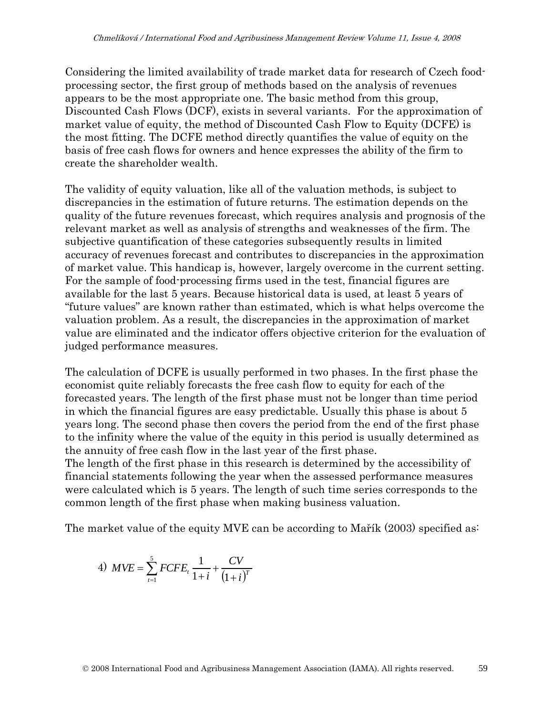Considering the limited availability of trade market data for research of Czech foodprocessing sector, the first group of methods based on the analysis of revenues appears to be the most appropriate one. The basic method from this group, Discounted Cash Flows (DCF), exists in several variants. For the approximation of market value of equity, the method of Discounted Cash Flow to Equity (DCFE) is the most fitting. The DCFE method directly quantifies the value of equity on the basis of free cash flows for owners and hence expresses the ability of the firm to create the shareholder wealth.

The validity of equity valuation, like all of the valuation methods, is subject to discrepancies in the estimation of future returns. The estimation depends on the quality of the future revenues forecast, which requires analysis and prognosis of the relevant market as well as analysis of strengths and weaknesses of the firm. The subjective quantification of these categories subsequently results in limited accuracy of revenues forecast and contributes to discrepancies in the approximation of market value. This handicap is, however, largely overcome in the current setting. For the sample of food-processing firms used in the test, financial figures are available for the last 5 years. Because historical data is used, at least 5 years of "future values" are known rather than estimated, which is what helps overcome the valuation problem. As a result, the discrepancies in the approximation of market value are eliminated and the indicator offers objective criterion for the evaluation of judged performance measures.

The calculation of DCFE is usually performed in two phases. In the first phase the economist quite reliably forecasts the free cash flow to equity for each of the forecasted years. The length of the first phase must not be longer than time period in which the financial figures are easy predictable. Usually this phase is about 5 years long. The second phase then covers the period from the end of the first phase to the infinity where the value of the equity in this period is usually determined as the annuity of free cash flow in the last year of the first phase.

The length of the first phase in this research is determined by the accessibility of financial statements following the year when the assessed performance measures were calculated which is 5 years. The length of such time series corresponds to the common length of the first phase when making business valuation.

The market value of the equity MVE can be according to Mařík (2003) specified as:

4) 
$$
MVE = \sum_{t=1}^{5} FCFE_t \frac{1}{1+i} + \frac{CV}{(1+i)^T}
$$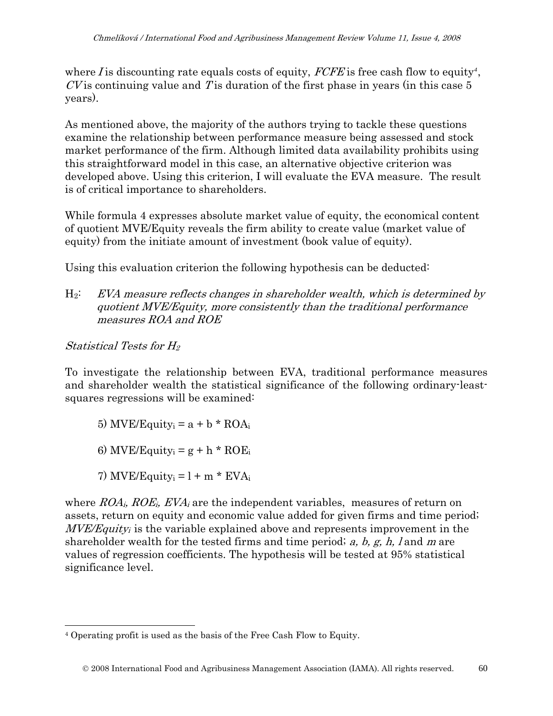where  $I$  is discounting rate equals costs of equity,  $FCFE$  is free cash flow to equity<sup>[4](#page-11-0)</sup>,  $CV$  is continuing value and T is duration of the first phase in years (in this case 5 years).

As mentioned above, the majority of the authors trying to tackle these questions examine the relationship between performance measure being assessed and stock market performance of the firm. Although limited data availability prohibits using this straightforward model in this case, an alternative objective criterion was developed above. Using this criterion, I will evaluate the EVA measure. The result is of critical importance to shareholders.

While formula 4 expresses absolute market value of equity, the economical content of quotient MVE/Equity reveals the firm ability to create value (market value of equity) from the initiate amount of investment (book value of equity).

Using this evaluation criterion the following hypothesis can be deducted:

 $H_2$ : EVA measure reflects changes in shareholder wealth, which is determined by quotient MVE/Equity, more consistently than the traditional performance measures ROA and ROE

Statistical Tests for H<sup>2</sup>

To investigate the relationship between EVA, traditional performance measures and shareholder wealth the statistical significance of the following ordinary-leastsquares regressions will be examined:

- 5) MVE/Equity $_i = a + b * ROA_i$
- 6) MVE/Equity<sub>i</sub> =  $g + h * ROE$
- 7) MVE/Equity<sub>i</sub> =  $l + m * EVA_i$

where  $ROA_i$ ,  $ROE_i$ ,  $EVA_i$  are the independent variables, measures of return on assets, return on equity and economic value added for given firms and time period;  $MVE/Equity$  is the variable explained above and represents improvement in the shareholder wealth for the tested firms and time period;  $a, b, g, h$ , l and m are values of regression coefficients. The hypothesis will be tested at 95% statistical significance level.

<span id="page-11-0"></span> $\overline{a}$ 4 Operating profit is used as the basis of the Free Cash Flow to Equity.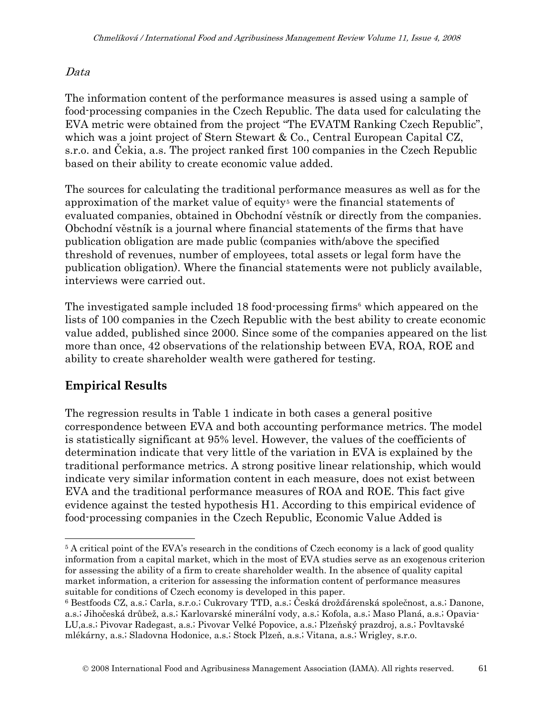#### Data

The information content of the performance measures is assed using a sample of food-processing companies in the Czech Republic. The data used for calculating the EVA metric were obtained from the project "The EVATM Ranking Czech Republic", which was a joint project of Stern Stewart & Co., Central European Capital CZ, s.r.o. and Čekia, a.s. The project ranked first 100 companies in the Czech Republic based on their ability to create economic value added.

The sources for calculating the traditional performance measures as well as for the approximation of the market value of equity<sup>[5](#page-12-0)</sup> were the financial statements of evaluated companies, obtained in Obchodní věstník or directly from the companies. Obchodní věstník is a journal where financial statements of the firms that have publication obligation are made public (companies with/above the specified threshold of revenues, number of employees, total assets or legal form have the publication obligation). Where the financial statements were not publicly available, interviews were carried out.

The investigated sample included 18 food-processing firms<sup>[6](#page-12-1)</sup> which appeared on the lists of 100 companies in the Czech Republic with the best ability to create economic value added, published since 2000. Since some of the companies appeared on the list more than once, 42 observations of the relationship between EVA, ROA, ROE and ability to create shareholder wealth were gathered for testing.

# **Empirical Results**

 $\overline{a}$ 

The regression results in Table 1 indicate in both cases a general positive correspondence between EVA and both accounting performance metrics. The model is statistically significant at 95% level. However, the values of the coefficients of determination indicate that very little of the variation in EVA is explained by the traditional performance metrics. A strong positive linear relationship, which would indicate very similar information content in each measure, does not exist between EVA and the traditional performance measures of ROA and ROE. This fact give evidence against the tested hypothesis H1. According to this empirical evidence of food-processing companies in the Czech Republic, Economic Value Added is

<span id="page-12-0"></span><sup>&</sup>lt;sup>5</sup> A critical point of the EVA's research in the conditions of Czech economy is a lack of good quality information from a capital market, which in the most of EVA studies serve as an exogenous criterion for assessing the ability of a firm to create shareholder wealth. In the absence of quality capital market information, a criterion for assessing the information content of performance measures suitable for conditions of Czech economy is developed in this paper.

<span id="page-12-1"></span><sup>6</sup> Bestfoods CZ, a.s.; Carla, s.r.o.; Cukrovary TTD, a.s.; Česká drožďárenská společnost, a.s.; Danone, a.s.; Jihočeská drůbež, a.s.; Karlovarské minerální vody, a.s.; Kofola, a.s.; Maso Planá, a.s.; Opavia-LU,a.s.; Pivovar Radegast, a.s.; Pivovar Velké Popovice, a.s.; Plzeňský prazdroj, a.s.; Povltavské mlékárny, a.s.; Sladovna Hodonice, a.s.; Stock Plzeň, a.s.; Vitana, a.s.; Wrigley, s.r.o.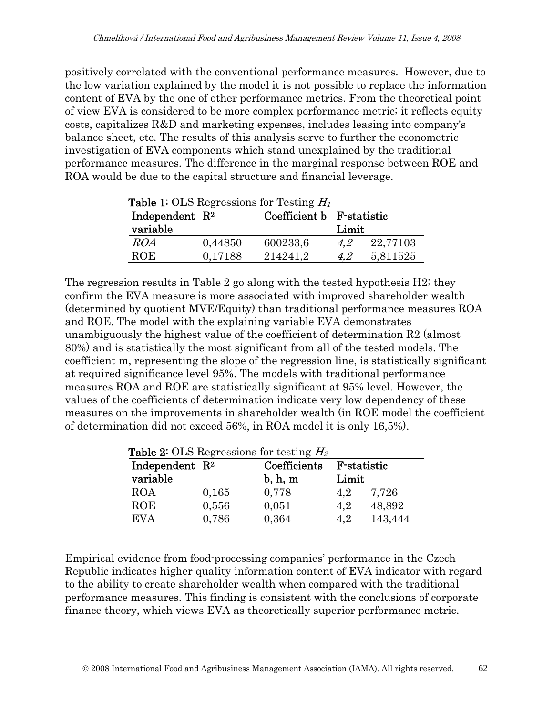positively correlated with the conventional performance measures. However, due to the low variation explained by the model it is not possible to replace the information content of EVA by the one of other performance metrics. From the theoretical point of view EVA is considered to be more complex performance metric; it reflects equity costs, capitalizes R&D and marketing expenses, includes leasing into company's balance sheet, etc. The results of this analysis serve to further the econometric investigation of EVA components which stand unexplained by the traditional performance measures. The difference in the marginal response between ROE and ROA would be due to the capital structure and financial leverage.

|                            |         | <b>Table 1:</b> OLS Regressions for Testing $H_1$ |       |          |
|----------------------------|---------|---------------------------------------------------|-------|----------|
| Independent $\mathbb{R}^2$ |         | Coefficient b F-statistic                         |       |          |
| variable                   |         |                                                   | Limit |          |
| ROA                        | 0,44850 | 600233,6                                          | 4.2   | 22,77103 |
| ROE                        | 0,17188 | 214241.2                                          | 4.2   | 5,811525 |

The regression results in Table 2 go along with the tested hypothesis H2; they confirm the EVA measure is more associated with improved shareholder wealth (determined by quotient MVE/Equity) than traditional performance measures ROA and ROE. The model with the explaining variable EVA demonstrates unambiguously the highest value of the coefficient of determination R2 (almost 80%) and is statistically the most significant from all of the tested models. The coefficient m, representing the slope of the regression line, is statistically significant at required significance level 95%. The models with traditional performance measures ROA and ROE are statistically significant at 95% level. However, the values of the coefficients of determination indicate very low dependency of these measures on the improvements in shareholder wealth (in ROE model the coefficient of determination did not exceed 56%, in ROA model it is only 16,5%).

| Independent $R^2$<br>variable |       | Coefficients | <b>F</b> -statistic |         |
|-------------------------------|-------|--------------|---------------------|---------|
|                               |       | $b, h, m$    | Limit               |         |
| ROA                           | 0,165 | 0,778        | 4,2                 | 7,726   |
| ROE                           | 0,556 | 0,051        | 4,2                 | 48,892  |
| <b>EVA</b>                    | 0,786 | 0,364        | 4,2                 | 143,444 |

Empirical evidence from food-processing companies' performance in the Czech Republic indicates higher quality information content of EVA indicator with regard to the ability to create shareholder wealth when compared with the traditional performance measures. This finding is consistent with the conclusions of corporate finance theory, which views EVA as theoretically superior performance metric.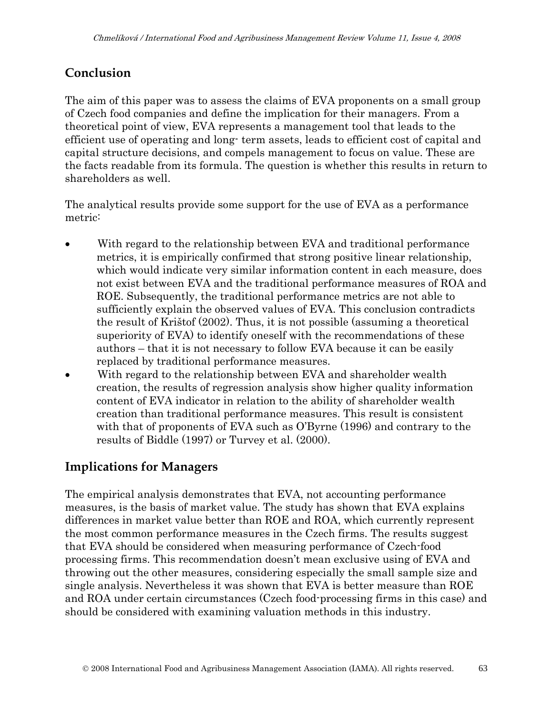# **Conclusion**

The aim of this paper was to assess the claims of EVA proponents on a small group of Czech food companies and define the implication for their managers. From a theoretical point of view, EVA represents a management tool that leads to the efficient use of operating and long- term assets, leads to efficient cost of capital and capital structure decisions, and compels management to focus on value. These are the facts readable from its formula. The question is whether this results in return to shareholders as well.

The analytical results provide some support for the use of EVA as a performance metric:

- With regard to the relationship between EVA and traditional performance metrics, it is empirically confirmed that strong positive linear relationship, which would indicate very similar information content in each measure, does not exist between EVA and the traditional performance measures of ROA and ROE. Subsequently, the traditional performance metrics are not able to sufficiently explain the observed values of EVA. This conclusion contradicts the result of Krištof (2002). Thus, it is not possible (assuming a theoretical superiority of EVA) to identify oneself with the recommendations of these authors – that it is not necessary to follow EVA because it can be easily replaced by traditional performance measures.
- With regard to the relationship between EVA and shareholder wealth creation, the results of regression analysis show higher quality information content of EVA indicator in relation to the ability of shareholder wealth creation than traditional performance measures. This result is consistent with that of proponents of EVA such as O'Byrne (1996) and contrary to the results of Biddle (1997) or Turvey et al. (2000).

# **Implications for Managers**

The empirical analysis demonstrates that EVA, not accounting performance measures, is the basis of market value. The study has shown that EVA explains differences in market value better than ROE and ROA, which currently represent the most common performance measures in the Czech firms. The results suggest that EVA should be considered when measuring performance of Czech-food processing firms. This recommendation doesn't mean exclusive using of EVA and throwing out the other measures, considering especially the small sample size and single analysis. Nevertheless it was shown that EVA is better measure than ROE and ROA under certain circumstances (Czech food-processing firms in this case) and should be considered with examining valuation methods in this industry.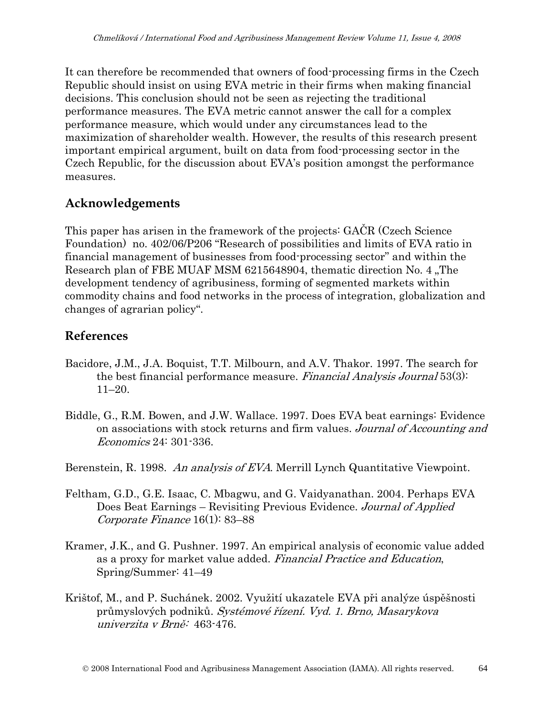It can therefore be recommended that owners of food-processing firms in the Czech Republic should insist on using EVA metric in their firms when making financial decisions. This conclusion should not be seen as rejecting the traditional performance measures. The EVA metric cannot answer the call for a complex performance measure, which would under any circumstances lead to the maximization of shareholder wealth. However, the results of this research present important empirical argument, built on data from food-processing sector in the Czech Republic, for the discussion about EVA's position amongst the performance measures.

### **Acknowledgements**

This paper has arisen in the framework of the projects: GAČR (Czech Science Foundation) no. 402/06/P206 "Research of possibilities and limits of EVA ratio in financial management of businesses from food-processing sector" and within the Research plan of FBE MUAF MSM 6215648904, thematic direction No. 4, The development tendency of agribusiness, forming of segmented markets within commodity chains and food networks in the process of integration, globalization and changes of agrarian policy".

### **References**

- Bacidore, J.M., J.A. Boquist, T.T. Milbourn, and A.V. Thakor. 1997. The search for the best financial performance measure. Financial Analysis Journal 53(3): 11–20.
- Biddle, G., R.M. Bowen, and J.W. Wallace. 1997. Does EVA beat earnings: Evidence on associations with stock returns and firm values. Journal of Accounting and Economics 24: 301-336.

Berenstein, R. 1998. An analysis of EVA. Merrill Lynch Quantitative Viewpoint.

- Feltham, G.D., G.E. Isaac, C. Mbagwu, and G. Vaidyanathan. 2004. Perhaps EVA Does Beat Earnings – Revisiting Previous Evidence. Journal of Applied Corporate Finance 16(1): 83–88
- Kramer, J.K., and G. Pushner. 1997. An empirical analysis of economic value added as a proxy for market value added. Financial Practice and Education, Spring/Summer: 41–49
- Krištof, M., and P. Suchánek. 2002. Využití ukazatele EVA při analýze úspěšnosti průmyslových podniků. Systémové řízení. Vyd. 1. Brno, Masarykova univerzita v Brně: 463-476.